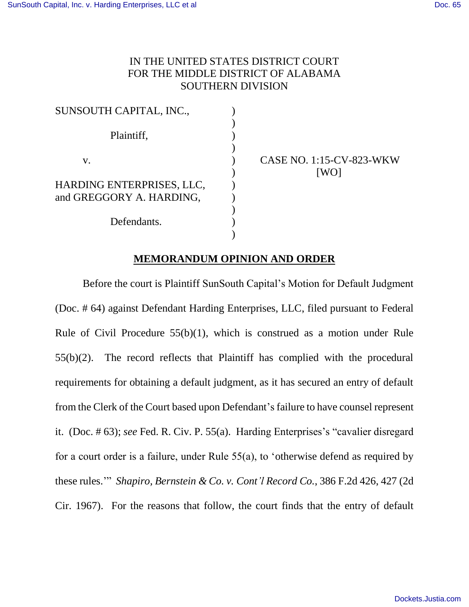## IN THE UNITED STATES DISTRICT COURT FOR THE MIDDLE DISTRICT OF ALABAMA SOUTHERN DIVISION

| SUNSOUTH CAPITAL, INC.,   |  |
|---------------------------|--|
|                           |  |
| Plaintiff,                |  |
|                           |  |
| V.                        |  |
|                           |  |
| HARDING ENTERPRISES, LLC, |  |
| and GREGGORY A. HARDING,  |  |
|                           |  |
| Defendants.               |  |
|                           |  |
|                           |  |

CASE NO. 1:15-CV-823-WKW [WO]

## **MEMORANDUM OPINION AND ORDER**

Before the court is Plaintiff SunSouth Capital's Motion for Default Judgment (Doc. # 64) against Defendant Harding Enterprises, LLC, filed pursuant to Federal Rule of Civil Procedure 55(b)(1), which is construed as a motion under Rule 55(b)(2). The record reflects that Plaintiff has complied with the procedural requirements for obtaining a default judgment, as it has secured an entry of default from the Clerk of the Court based upon Defendant's failure to have counsel represent it. (Doc. # 63); *see* Fed. R. Civ. P. 55(a). Harding Enterprises's "cavalier disregard for a court order is a failure, under Rule 55(a), to 'otherwise defend as required by these rules.'" *Shapiro, Bernstein & Co. v. Cont'l Record Co.*, 386 F.2d 426, 427 (2d Cir. 1967). For the reasons that follow, the court finds that the entry of default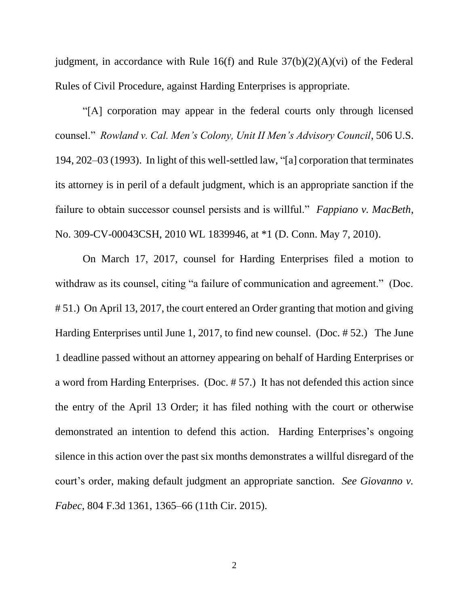judgment, in accordance with Rule 16(f) and Rule  $37(b)(2)(A)(vi)$  of the Federal Rules of Civil Procedure, against Harding Enterprises is appropriate.

"[A] corporation may appear in the federal courts only through licensed counsel." *Rowland v. Cal. Men's Colony, Unit II Men's Advisory Council*, 506 U.S. 194, 202–03 (1993). In light of this well-settled law, "[a] corporation that terminates its attorney is in peril of a default judgment, which is an appropriate sanction if the failure to obtain successor counsel persists and is willful." *Fappiano v. MacBeth*, No. 309-CV-00043CSH, 2010 WL 1839946, at \*1 (D. Conn. May 7, 2010).

On March 17, 2017, counsel for Harding Enterprises filed a motion to withdraw as its counsel, citing "a failure of communication and agreement." (Doc. # 51.) On April 13, 2017, the court entered an Order granting that motion and giving Harding Enterprises until June 1, 2017, to find new counsel. (Doc. # 52.) The June 1 deadline passed without an attorney appearing on behalf of Harding Enterprises or a word from Harding Enterprises. (Doc. # 57.) It has not defended this action since the entry of the April 13 Order; it has filed nothing with the court or otherwise demonstrated an intention to defend this action. Harding Enterprises's ongoing silence in this action over the past six months demonstrates a willful disregard of the court's order, making default judgment an appropriate sanction. *See Giovanno v. Fabec*, 804 F.3d 1361, 1365–66 (11th Cir. 2015).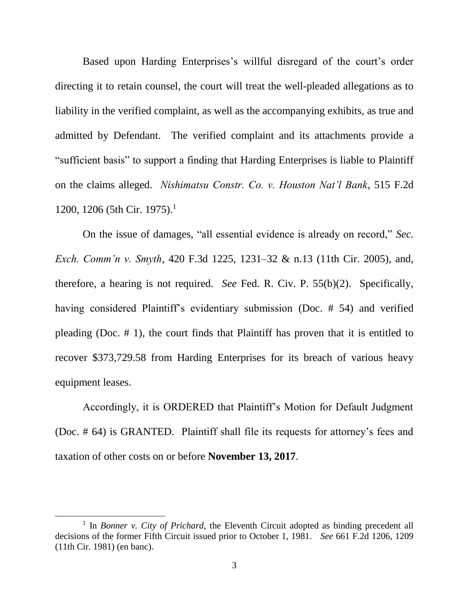Based upon Harding Enterprises's willful disregard of the court's order directing it to retain counsel, the court will treat the well-pleaded allegations as to liability in the verified complaint, as well as the accompanying exhibits, as true and admitted by Defendant. The verified complaint and its attachments provide a "sufficient basis" to support a finding that Harding Enterprises is liable to Plaintiff on the claims alleged. *Nishimatsu Constr. Co. v. Houston Nat'l Bank*, 515 F.2d 1200, 1206 (5th Cir. 1975).<sup>1</sup>

On the issue of damages, "all essential evidence is already on record," *Sec. Exch. Comm'n v. Smyth*, 420 F.3d 1225, 1231–32 & n.13 (11th Cir. 2005), and, therefore, a hearing is not required. *See* Fed. R. Civ. P. 55(b)(2). Specifically, having considered Plaintiff's evidentiary submission (Doc. # 54) and verified pleading (Doc. # 1), the court finds that Plaintiff has proven that it is entitled to recover \$373,729.58 from Harding Enterprises for its breach of various heavy equipment leases.

Accordingly, it is ORDERED that Plaintiff's Motion for Default Judgment (Doc. # 64) is GRANTED. Plaintiff shall file its requests for attorney's fees and taxation of other costs on or before **November 13, 2017**.

 $\overline{a}$ 

<sup>&</sup>lt;sup>1</sup> In *Bonner v. City of Prichard*, the Eleventh Circuit adopted as binding precedent all decisions of the former Fifth Circuit issued prior to October 1, 1981. *See* 661 F.2d 1206, 1209 (11th Cir. 1981) (en banc).